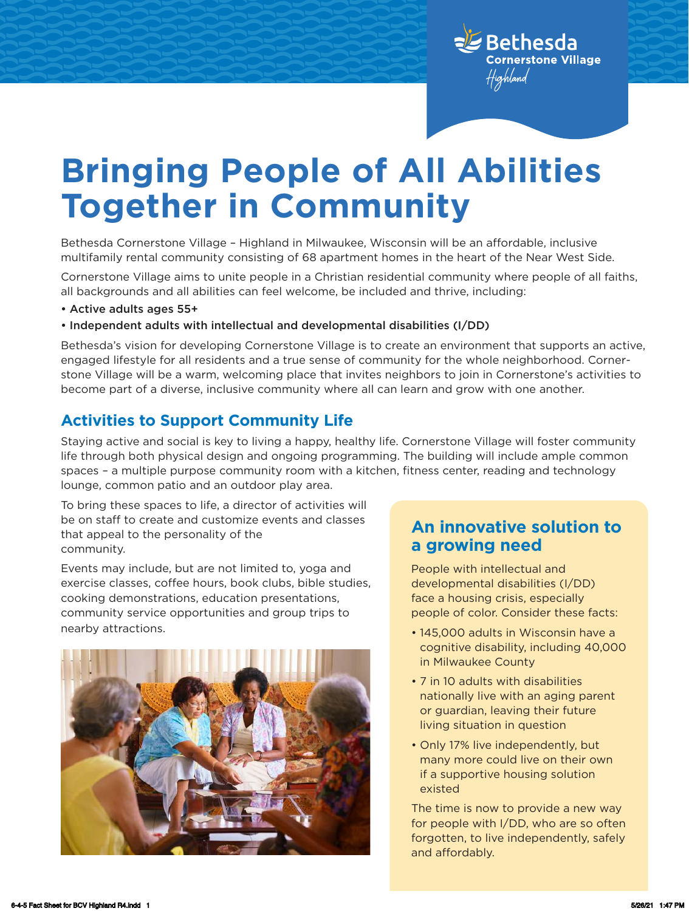

# **Bringing People of All Abilities Together in Community**

Bethesda Cornerstone Village – Highland in Milwaukee, Wisconsin will be an affordable, inclusive multifamily rental community consisting of 68 apartment homes in the heart of the Near West Side.

Cornerstone Village aims to unite people in a Christian residential community where people of all faiths, all backgrounds and all abilities can feel welcome, be included and thrive, including:

- Active adults ages 55+
- Independent adults with intellectual and developmental disabilities (I/DD)

Bethesda's vision for developing Cornerstone Village is to create an environment that supports an active, engaged lifestyle for all residents and a true sense of community for the whole neighborhood. Cornerstone Village will be a warm, welcoming place that invites neighbors to join in Cornerstone's activities to become part of a diverse, inclusive community where all can learn and grow with one another.

### **Activities to Support Community Life**

Staying active and social is key to living a happy, healthy life. Cornerstone Village will foster community life through both physical design and ongoing programming. The building will include ample common spaces – a multiple purpose community room with a kitchen, fitness center, reading and technology lounge, common patio and an outdoor play area.

To bring these spaces to life, a director of activities will be on staff to create and customize events and classes that appeal to the personality of the community.

Events may include, but are not limited to, yoga and exercise classes, coffee hours, book clubs, bible studies, cooking demonstrations, education presentations, community service opportunities and group trips to nearby attractions.



### **An innovative solution to a growing need**

People with intellectual and developmental disabilities (I/DD) face a housing crisis, especially people of color. Consider these facts:

- 145,000 adults in Wisconsin have a cognitive disability, including 40,000 in Milwaukee County
- 7 in 10 adults with disabilities nationally live with an aging parent or guardian, leaving their future living situation in question
- Only 17% live independently, but many more could live on their own if a supportive housing solution existed

The time is now to provide a new way for people with I/DD, who are so often forgotten, to live independently, safely and affordably.